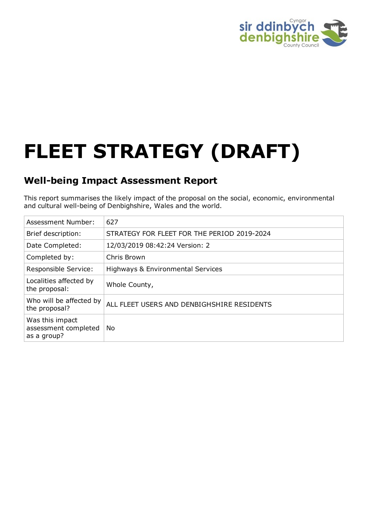

# **FLEET STRATEGY (DRAFT)**

## **Well-being Impact Assessment Report**

This report summarises the likely impact of the proposal on the social, economic, environmental and cultural well-being of Denbighshire, Wales and the world.

| <b>Assessment Number:</b>                              | 627                                         |
|--------------------------------------------------------|---------------------------------------------|
| Brief description:                                     | STRATEGY FOR FLEET FOR THE PERIOD 2019-2024 |
| Date Completed:                                        | 12/03/2019 08:42:24 Version: 2              |
| Completed by:                                          | Chris Brown                                 |
| <b>Responsible Service:</b>                            | Highways & Environmental Services           |
| Localities affected by<br>the proposal:                | Whole County,                               |
| Who will be affected by<br>the proposal?               | ALL FLEET USERS AND DENBIGHSHIRE RESIDENTS  |
| Was this impact<br>assessment completed<br>as a group? | No                                          |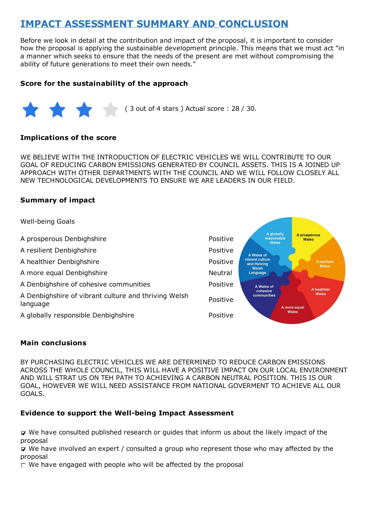# **IMPACT ASSESSMENT SUMMARY AND CONCLUSION**

Before we look in detail at the contribution and impact of the proposal, it is important to consider how the proposal is applying the sustainable development principle. This means that we must act "in a manner which seeks to ensure that the needs of the present are met without compromising the ability of future generations to meet their own needs."

#### **Score for the sustainability of the approach**



#### **Implications of the score**

WE BELIEVE WITH THE INTRODUCTION OF ELECTRIC VEHICLES WE WILL CONTRIBUTE TO OUR GOAL OF REDUCING CARBON EMISSIONS GENERATED BY COUNCIL ASSETS. THIS IS A JOINED UP APPROACH WITH OTHER DEPARTMENTS WITH THE COUNCIL AND WE WILL FOLLOW CLOSELY ALL NEW TECHNOLOGICAL DEVELOPMENTS TO ENSURE WE ARE LEADERS IN OUR FIELD.

#### **Summary of impact**

Well-being Goals A globally<br>responsible A prosperous A prosperous Denbighshire **Positive** Positive Wales **Wales** A resilient Denbighshire **A** resilient Denbighshire A Wales of vibrant culture<br>and thriving A healthier Denbighshire **Positive** Positive A resilient<br>Wales Welsh A more equal Denbighshire Neutral Language A Denbighshire of cohesive communities **Positive** Positive A Wales of A healthier cohesive Wales A Denbighshire of vibrant culture and thriving Welsh communities Positive language A more equal Wales A globally responsible Denbighshire **A** globally responsible Denbighshire

#### **Main conclusions**

BY PURCHASING ELECTRIC VEHICLES WE ARE DETERMINED TO REDUCE CARBON EMISSIONS ACROSS THE WHOLE COUNCIL, THIS WILL HAVE A POSITIVE IMPACT ON OUR LOCAL ENVIRONMENT AND WILL STRAT US ON TEH PATH TO ACHIEVING A CARBON NEUTRAL POSITION. THIS IS OUR GOAL, HOWEVER WE WILL NEED ASSISTANCE FROM NATIONAL GOVERMENT TO ACHIEVE ALL OUR GOALS.

#### **Evidence to support the Well-being Impact Assessment**

We have consulted published research or guides that inform us about the likely impact of the proposal

We have involved an expert / consulted a group who represent those who may affected by the proposal

 $\Box$  We have engaged with people who will be affected by the proposal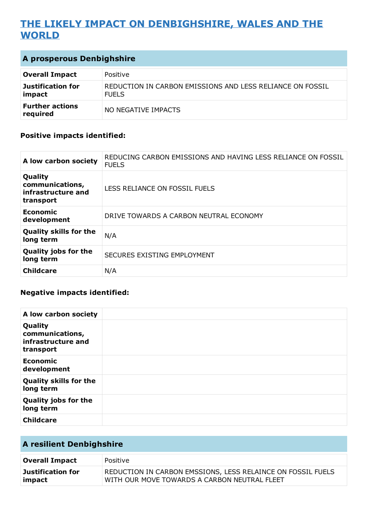# **THE LIKELY IMPACT ON DENBIGHSHIRE, WALES AND THE WORLD**

| <b>A prosperous Denbighshire</b> |
|----------------------------------|
|----------------------------------|

| <b>Overall Impact</b>              | Positive                                                                  |
|------------------------------------|---------------------------------------------------------------------------|
| Justification for<br>impact        | REDUCTION IN CARBON EMISSIONS AND LESS RELIANCE ON FOSSIL<br><b>FUELS</b> |
| <b>Further actions</b><br>required | NO NEGATIVE IMPACTS                                                       |

#### **Positive impacts identified:**

| A low carbon society                                          | REDUCING CARBON EMISSIONS AND HAVING LESS RELIANCE ON FOSSIL<br><b>FUELS</b> |
|---------------------------------------------------------------|------------------------------------------------------------------------------|
| Quality<br>communications,<br>infrastructure and<br>transport | LESS RELIANCE ON FOSSIL FUELS                                                |
| <b>Economic</b><br>development                                | DRIVE TOWARDS A CARBON NEUTRAL ECONOMY                                       |
| <b>Quality skills for the</b><br>long term                    | N/A                                                                          |
| <b>Quality jobs for the</b><br>long term                      | SECURES EXISTING EMPLOYMENT                                                  |
| <b>Childcare</b>                                              | N/A                                                                          |

#### **Negative impacts identified:**

| A low carbon society                                          |  |
|---------------------------------------------------------------|--|
| Quality<br>communications,<br>infrastructure and<br>transport |  |
| <b>Economic</b><br>development                                |  |
| <b>Quality skills for the</b><br>long term                    |  |
| <b>Quality jobs for the</b><br>long term                      |  |
| <b>Childcare</b>                                              |  |

| <b>A resilient Denbighshire</b> |                                                                                                             |
|---------------------------------|-------------------------------------------------------------------------------------------------------------|
| <b>Overall Impact</b>           | Positive                                                                                                    |
| Justification for<br>impact     | REDUCTION IN CARBON EMSSIONS, LESS RELAINCE ON FOSSIL FUELS<br>WITH OUR MOVE TOWARDS A CARBON NEUTRAL FLEET |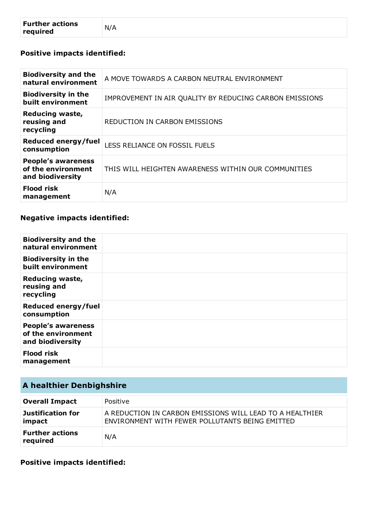## **Positive impacts identified:**

| <b>Biodiversity and the</b><br>natural environment                  | A MOVE TOWARDS A CARBON NEUTRAL ENVIRONMENT             |
|---------------------------------------------------------------------|---------------------------------------------------------|
| <b>Biodiversity in the</b><br>built environment                     | IMPROVEMENT IN AIR QUALITY BY REDUCING CARBON EMISSIONS |
| Reducing waste,<br>reusing and<br>recycling                         | REDUCTION IN CARBON EMISSIONS                           |
| <b>Reduced energy/fuel</b><br>consumption                           | LESS RELIANCE ON FOSSIL FUELS                           |
| <b>People's awareness</b><br>of the environment<br>and biodiversity | THIS WILL HEIGHTEN AWARENESS WITHIN OUR COMMUNITIES     |
| <b>Flood risk</b><br>management                                     | N/A                                                     |

### **Negative impacts identified:**

| <b>Biodiversity and the</b><br>natural environment                  |  |
|---------------------------------------------------------------------|--|
| <b>Biodiversity in the</b><br>built environment                     |  |
| <b>Reducing waste,</b><br>reusing and<br>recycling                  |  |
| Reduced energy/fuel<br>consumption                                  |  |
| <b>People's awareness</b><br>of the environment<br>and biodiversity |  |
| <b>Flood risk</b><br>management                                     |  |

| A healthier Denbighshire           |                                                                                                             |
|------------------------------------|-------------------------------------------------------------------------------------------------------------|
| <b>Overall Impact</b>              | Positive                                                                                                    |
| <b>Justification for</b><br>impact | A REDUCTION IN CARBON EMISSIONS WILL LEAD TO A HEALTHIER<br>ENVIRONMENT WITH FEWER POLLUTANTS BEING EMITTED |
| <b>Further actions</b><br>required | N/A                                                                                                         |

**Positive impacts identified:**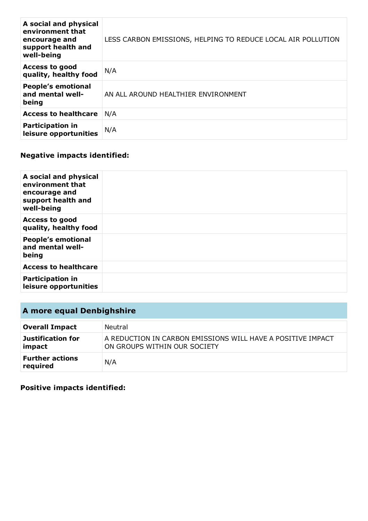| A social and physical<br>environment that<br>encourage and<br>support health and<br>well-being | LESS CARBON EMISSIONS, HELPING TO REDUCE LOCAL AIR POLLUTION |
|------------------------------------------------------------------------------------------------|--------------------------------------------------------------|
| <b>Access to good</b><br>quality, healthy food                                                 | N/A                                                          |
| <b>People's emotional</b><br>and mental well-<br>being                                         | AN ALL AROUND HEALTHIER ENVIRONMENT                          |
| <b>Access to healthcare</b>                                                                    | N/A                                                          |
| <b>Participation in</b><br>leisure opportunities                                               | N/A                                                          |

## **Negative impacts identified:**

| A social and physical<br>environment that<br>encourage and<br>support health and<br>well-being |  |
|------------------------------------------------------------------------------------------------|--|
| <b>Access to good</b><br>quality, healthy food                                                 |  |
| <b>People's emotional</b><br>and mental well-<br>being                                         |  |
| <b>Access to healthcare</b>                                                                    |  |
| <b>Participation in</b><br>leisure opportunities                                               |  |

# **A more equal Denbighshire**

| <b>Overall Impact</b>              | Neutral                                                                                     |
|------------------------------------|---------------------------------------------------------------------------------------------|
| <b>Justification for</b><br>impact | A REDUCTION IN CARBON EMISSIONS WILL HAVE A POSITIVE IMPACT<br>ON GROUPS WITHIN OUR SOCIETY |
| <b>Further actions</b><br>required | N/A                                                                                         |

**Positive impacts identified:**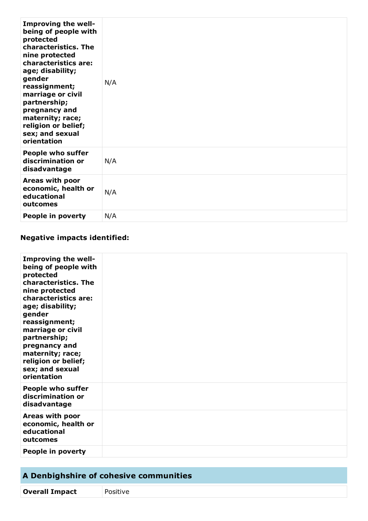| Improving the well-<br>being of people with<br>protected<br>characteristics. The<br>nine protected<br>characteristics are:<br>age; disability;<br>gender<br>reassignment;<br>marriage or civil<br>partnership;<br>pregnancy and<br>maternity; race;<br>religion or belief;<br>sex; and sexual<br>orientation | N/A |
|--------------------------------------------------------------------------------------------------------------------------------------------------------------------------------------------------------------------------------------------------------------------------------------------------------------|-----|
| <b>People who suffer</b><br>discrimination or<br>disadvantage                                                                                                                                                                                                                                                | N/A |
| Areas with poor<br>economic, health or<br>educational<br>outcomes                                                                                                                                                                                                                                            | N/A |
| People in poverty                                                                                                                                                                                                                                                                                            | N/A |

## **Negative impacts identified:**

| <b>Improving the well-</b><br>being of people with<br>protected<br>characteristics. The<br>nine protected<br>characteristics are:<br>age; disability;<br>gender<br>reassignment;<br>marriage or civil<br>partnership;<br>pregnancy and<br>maternity; race;<br>religion or belief;<br>sex; and sexual<br>orientation |  |
|---------------------------------------------------------------------------------------------------------------------------------------------------------------------------------------------------------------------------------------------------------------------------------------------------------------------|--|
| <b>People who suffer</b><br>discrimination or<br>disadvantage                                                                                                                                                                                                                                                       |  |
| Areas with poor<br>economic, health or<br>educational<br>outcomes                                                                                                                                                                                                                                                   |  |
| People in poverty                                                                                                                                                                                                                                                                                                   |  |

| A Denbighshire of cohesive communities |  |  |  |
|----------------------------------------|--|--|--|
|                                        |  |  |  |

**Overall Impact** Positive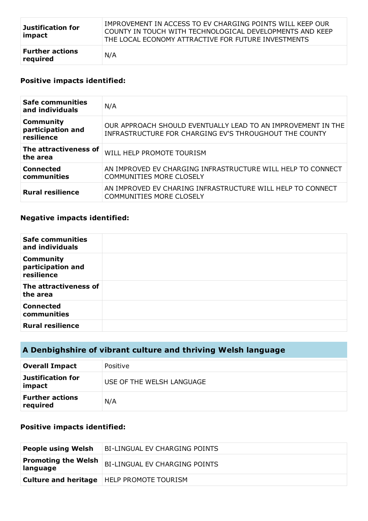| <b>Justification for</b><br>impact | IMPROVEMENT IN ACCESS TO EV CHARGING POINTS WILL KEEP OUR<br>COUNTY IN TOUCH WITH TECHNOLOGICAL DEVELOPMENTS AND KEEP<br>THE LOCAL ECONOMY ATTRACTIVE FOR FUTURE INVESTMENTS |
|------------------------------------|------------------------------------------------------------------------------------------------------------------------------------------------------------------------------|
| <b>Further actions</b><br>required | N/A                                                                                                                                                                          |

## **Positive impacts identified:**

| <b>Safe communities</b><br>and individuals          | N/A                                                                                                                    |
|-----------------------------------------------------|------------------------------------------------------------------------------------------------------------------------|
| <b>Community</b><br>participation and<br>resilience | OUR APPROACH SHOULD EVENTUALLY LEAD TO AN IMPROVEMENT IN THE<br>INFRASTRUCTURE FOR CHARGING EV'S THROUGHOUT THE COUNTY |
| The attractiveness of<br>the area                   | WILL HELP PROMOTE TOURISM                                                                                              |
| <b>Connected</b><br>communities                     | AN IMPROVED EV CHARGING INFRASTRUCTURE WILL HELP TO CONNECT<br><b>COMMUNITIES MORE CLOSELY</b>                         |
| <b>Rural resilience</b>                             | AN IMPROVED EV CHARING INFRASTRUCTURE WILL HELP TO CONNECT<br><b>COMMUNITIES MORE CLOSELY</b>                          |

### **Negative impacts identified:**

| <b>Safe communities</b><br>and individuals          |  |
|-----------------------------------------------------|--|
| <b>Community</b><br>participation and<br>resilience |  |
| The attractiveness of<br>the area                   |  |
| <b>Connected</b><br>communities                     |  |
| <b>Rural resilience</b>                             |  |

## **A Denbighshire of vibrant culture and thriving Welsh language**

| <b>Overall Impact</b>              | Positive                  |
|------------------------------------|---------------------------|
| <b>Justification for</b><br>impact | USE OF THE WELSH LANGUAGE |
| <b>Further actions</b><br>required | N/A                       |

### **Positive impacts identified:**

| <b>People using Welsh</b>              | <b>BI-LINGUAL EV CHARGING POINTS</b>               |
|----------------------------------------|----------------------------------------------------|
| <b>Promoting the Welsh</b><br>language | <b>BI-LINGUAL EV CHARGING POINTS</b>               |
|                                        | <b>Culture and heritage</b>   HELP PROMOTE TOURISM |